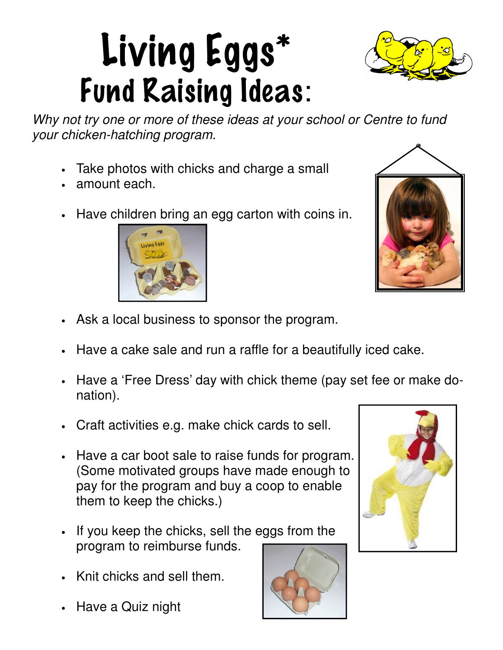# Living Eggs\* Fund Raising Ideas:

Why not try one or more of these ideas at your school or Centre to fund your chicken-hatching program.

- Take photos with chicks and charge a small
- amount each.
- Have children bring an egg carton with coins in.

- Ask a local business to sponsor the program.
- Have a cake sale and run a raffle for a beautifully iced cake.
- Have a 'Free Dress' day with chick theme (pay set fee or make donation).
- Craft activities e.g. make chick cards to sell.
- Have a car boot sale to raise funds for program. (Some motivated groups have made enough to pay for the program and buy a coop to enable them to keep the chicks.)
- If you keep the chicks, sell the eggs from the program to reimburse funds.
- Knit chicks and sell them.
- Have a Quiz night